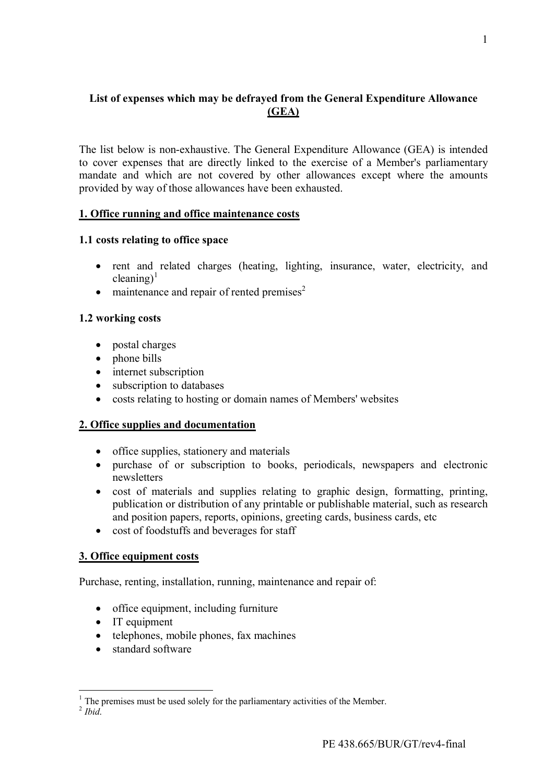# **List of expenses which may be defrayed from the General Expenditure Allowance (GEA)**

The list below is non-exhaustive. The General Expenditure Allowance (GEA) is intended to cover expenses that are directly linked to the exercise of a Member's parliamentary mandate and which are not covered by other allowances except where the amounts provided by way of those allowances have been exhausted.

## **1. Office running and office maintenance costs**

## **1.1 costs relating to office space**

- rent and related charges (heating, lighting, insurance, water, electricity, and cleaning)<sup>[1](#page-0-0)</sup>
- $\bullet$  maintenance and repair of rented premises<sup>[2](#page-0-1)</sup>

## **1.2 working costs**

- postal charges
- phone bills
- internet subscription
- subscription to databases
- costs relating to hosting or domain names of Members' websites

## **2. Office supplies and documentation**

- office supplies, stationery and materials
- purchase of or subscription to books, periodicals, newspapers and electronic newsletters
- cost of materials and supplies relating to graphic design, formatting, printing, publication or distribution of any printable or publishable material, such as research and position papers, reports, opinions, greeting cards, business cards, etc
- cost of foodstuffs and beverages for staff

## **3. Office equipment costs**

Purchase, renting, installation, running, maintenance and repair of:

- office equipment, including furniture
- IT equipment
- telephones, mobile phones, fax machines
- standard software

1

<span id="page-0-1"></span><span id="page-0-0"></span> $<sup>1</sup>$  The premises must be used solely for the parliamentary activities of the Member.</sup>

<sup>2</sup> *Ibid*.